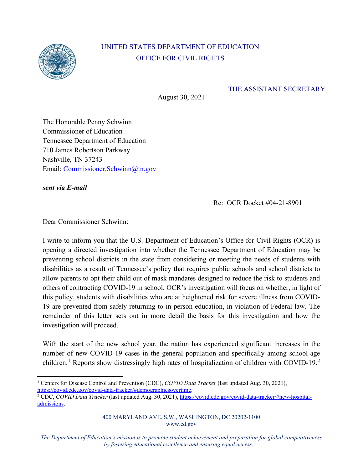

## UNITED STATES DEPARTMENT OF EDUCATION OFFICE FOR CIVIL RIGHTS

## THE ASSISTANT SECRETARY

August 30, 2021

The Honorable Penny Schwinn Commissioner of Education Tennessee Department of Education 710 James Robertson Parkway Nashville, TN 37243 Email: [Commissioner.Schwinn@tn.gov](mailto:Commissioner.Schwinn@tn.gov)

*sent via E-mail*

Re: OCR Docket #04-21-8901

Dear Commissioner Schwinn:

I write to inform you that the U.S. Department of Education's Office for Civil Rights (OCR) is opening a directed investigation into whether the Tennessee Department of Education may be preventing school districts in the state from considering or meeting the needs of students with disabilities as a result of Tennessee's policy that requires public schools and school districts to allow parents to opt their child out of mask mandates designed to reduce the risk to students and others of contracting COVID-19 in school. OCR's investigation will focus on whether, in light of this policy, students with disabilities who are at heightened risk for severe illness from COVID-19 are prevented from safely returning to in-person education, in violation of Federal law. The remainder of this letter sets out in more detail the basis for this investigation and how the investigation will proceed.

With the start of the new school year, the nation has experienced significant increases in the number of new COVID-19 cases in the general population and specifically among school-age children.<sup>[1](#page-0-0)</sup> Reports show distressingly high rates of hospitalization of children with COVID-19.<sup>[2](#page-0-1)</sup>

<span id="page-0-0"></span><sup>&</sup>lt;sup>1</sup> Centers for Disease Control and Prevention (CDC), *COVID Data Tracker* (last updated Aug. 30, 2021), https://covid.cdc.gov/covid-data-tracker/#demographicsovertime.

<span id="page-0-1"></span><sup>&</sup>lt;sup>2</sup> CDC, *COVID Data Tracker* (last updated Aug. 30, 2021)[, https://covid.cdc.gov/covid-data-tracker/#new-hospital](https://covid.cdc.gov/covid-data-tracker/#new-hospital-admissions)[admissions.](https://covid.cdc.gov/covid-data-tracker/#new-hospital-admissions) 

<sup>400</sup> MARYLAND AVE. S.W., WASHINGTON, DC 20202-1100 www.ed.gov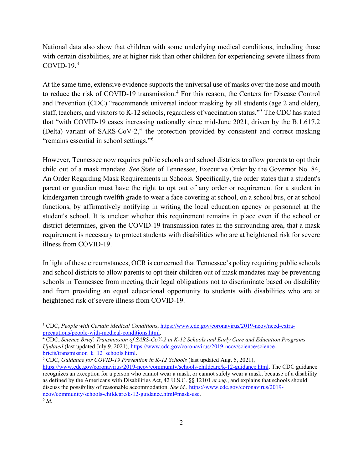National data also show that children with some underlying medical conditions, including those with certain disabilities, are at higher risk than other children for experiencing severe illness from COVID-19. $3$ 

At the same time, extensive evidence supports the universal use of masks over the nose and mouth to reduce the risk of COVID-19 transmission.<sup>[4](#page-1-1)</sup> For this reason, the Centers for Disease Control and Prevention (CDC) "recommends universal indoor masking by all students (age 2 and older), staff, teachers, and visitors to K-12 schools, regardless of vaccination status."[5](#page-1-2) The CDC has stated that "with COVID-19 cases increasing nationally since mid-June 2021, driven by the B.1.617.2 (Delta) variant of SARS-CoV-2," the protection provided by consistent and correct masking "remains essential in school settings."[6](#page-1-3)

However, Tennessee now requires public schools and school districts to allow parents to opt their child out of a mask mandate. *See* State of Tennessee, Executive Order by the Governor No. 84, An Order Regarding Mask Requirements in Schools. Specifically, the order states that a student's parent or guardian must have the right to opt out of any order or requirement for a student in kindergarten through twelfth grade to wear a face covering at school, on a school bus, or at school functions, by affirmatively notifying in writing the local education agency or personnel at the student's school. It is unclear whether this requirement remains in place even if the school or district determines, given the COVID-19 transmission rates in the surrounding area, that a mask requirement is necessary to protect students with disabilities who are at heightened risk for severe illness from COVID-19.

In light of these circumstances, OCR is concerned that Tennessee's policy requiring public schools and school districts to allow parents to opt their children out of mask mandates may be preventing schools in Tennessee from meeting their legal obligations not to discriminate based on disability and from providing an equal educational opportunity to students with disabilities who are at heightened risk of severe illness from COVID-19.

<span id="page-1-0"></span><sup>&</sup>lt;sup>3</sup> CDC, *People with Certain Medical Conditions*, https://www.cdc.gov/coronavirus/2019-ncov/need-extra-<br>precautions/people-with-medical-conditions.html.

<span id="page-1-1"></span><sup>&</sup>lt;sup>4</sup> CDC, *Science Brief: Transmission of SARS-CoV-2 in K-12 Schools and Early Care and Education Programs – Updated* (last updated July 9, 2021), [https://www.cdc.gov/coronavirus/2019-ncov/science/science](https://www.cdc.gov/coronavirus/2019-ncov/science/science-briefs/transmission_k_12_schools.html)[briefs/transmission\\_k\\_12\\_schools.html.](https://www.cdc.gov/coronavirus/2019-ncov/science/science-briefs/transmission_k_12_schools.html) 5 CDC, *Guidance for COVID-19 Prevention in K-12 Schools* (last updated Aug. 5, 2021),

<span id="page-1-3"></span><span id="page-1-2"></span>[https://www.cdc.gov/coronavirus/2019-ncov/community/schools-childcare/k-12-guidance.html.](https://www.cdc.gov/coronavirus/2019-ncov/community/schools-childcare/k-12-guidance.html) The CDC guidance recognizes an exception for a person who cannot wear a mask, or cannot safely wear a mask, because of a disability as defined by the Americans with Disabilities Act, 42 U.S.C. §§ 12101 *et seq.*, and explains that schools should discuss the possibility of reasonable accommodation. *See id.*, [https://www.cdc.gov/coronavirus/2019](https://www.cdc.gov/coronavirus/2019-ncov/community/schools-childcare/k-12-guidance.html#mask-use) [ncov/community/schools-childcare/k-12-guidance.html#mask-use.](https://www.cdc.gov/coronavirus/2019-ncov/community/schools-childcare/k-12-guidance.html#mask-use) 6 *Id*.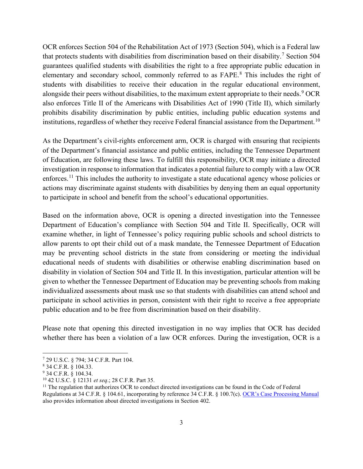OCR enforces Section 504 of the Rehabilitation Act of 1973 (Section 504), which is a Federal law that protects students with disabilities from discrimination based on their disability.<sup>[7](#page-2-0)</sup> Section 504 guarantees qualified students with disabilities the right to a free appropriate public education in elementary and secondary school, commonly referred to as FAPE.[8](#page-2-1) This includes the right of students with disabilities to receive their education in the regular educational environment, alongside their peers without disabilities, to the maximum extent appropriate to their needs.<sup>[9](#page-2-2)</sup> OCR also enforces Title II of the Americans with Disabilities Act of 1990 (Title II), which similarly prohibits disability discrimination by public entities, including public education systems and institutions, regardless of whether they receive Federal financial assistance from the Department.<sup>[10](#page-2-3)</sup>

As the Department's civil-rights enforcement arm, OCR is charged with ensuring that recipients of the Department's financial assistance and public entities, including the Tennessee Department of Education, are following these laws. To fulfill this responsibility, OCR may initiate a directed investigation in response to information that indicates a potential failure to comply with a law OCR enforces.<sup>[11](#page-2-4)</sup> This includes the authority to investigate a state educational agency whose policies or actions may discriminate against students with disabilities by denying them an equal opportunity to participate in school and benefit from the school's educational opportunities.

Based on the information above, OCR is opening a directed investigation into the Tennessee Department of Education's compliance with Section 504 and Title II. Specifically, OCR will examine whether, in light of Tennessee's policy requiring public schools and school districts to allow parents to opt their child out of a mask mandate, the Tennessee Department of Education may be preventing school districts in the state from considering or meeting the individual educational needs of students with disabilities or otherwise enabling discrimination based on disability in violation of Section 504 and Title II. In this investigation, particular attention will be given to whether the Tennessee Department of Education may be preventing schools from making individualized assessments about mask use so that students with disabilities can attend school and participate in school activities in person, consistent with their right to receive a free appropriate public education and to be free from discrimination based on their disability.

Please note that opening this directed investigation in no way implies that OCR has decided whether there has been a violation of a law OCR enforces. During the investigation, OCR is a

<span id="page-2-0"></span><sup>7</sup> 29 U.S.C. § 794; 34 C.F.R. Part 104.

<span id="page-2-1"></span><sup>8</sup> 34 C.F.R. § 104.33.

<span id="page-2-2"></span><sup>9</sup> 34 C.F.R. § 104.34.

<span id="page-2-4"></span><span id="page-2-3"></span><sup>&</sup>lt;sup>10</sup> 42 U.S.C. § 12131 *et seq.*; 28 C.F.R. Part 35.<br><sup>11</sup> The regulation that authorizes OCR to conduct directed investigations can be found in the Code of Federal Regulations at 34 C.F.R. § 104.61, incorporating by reference 34 C.F.R. § 100.7(c). [OCR's Case Processing Manual](https://www2.ed.gov/about/offices/list/ocr/docs/ocrcpm.pdf) also provides information about directed investigations in Section 402.